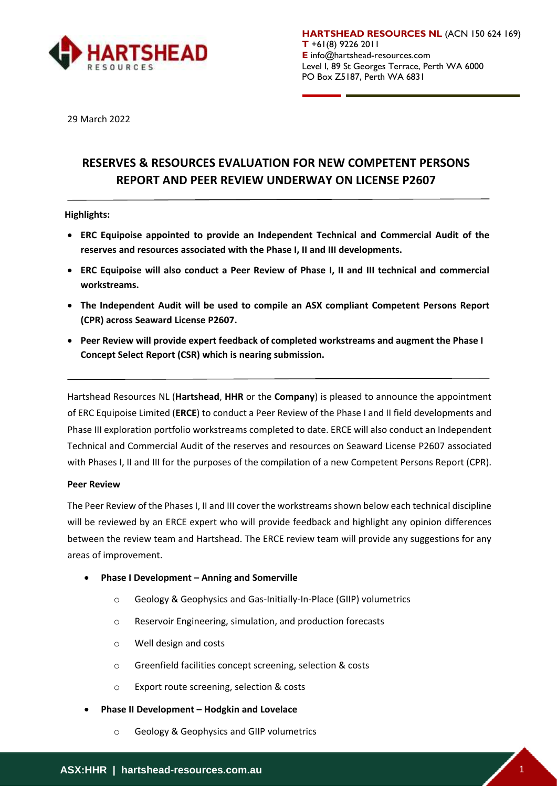

**HARTSHEAD RESOURCES NL** (ACN 150 624 169) **T** +61(8) 9226 2011 **E** info@hartshead-resources.com Level I, 89 St Georges Terrace, Perth WA 6000 PO Box Z5187, Perth WA 6831

29 March 2022

# **RESERVES & RESOURCES EVALUATION FOR NEW COMPETENT PERSONS REPORT AND PEER REVIEW UNDERWAY ON LICENSE P2607**

# **Highlights:**

- **ERC Equipoise appointed to provide an Independent Technical and Commercial Audit of the reserves and resources associated with the Phase I, II and III developments.**
- **ERC Equipoise will also conduct a Peer Review of Phase I, II and III technical and commercial workstreams.**
- **The Independent Audit will be used to compile an ASX compliant Competent Persons Report (CPR) across Seaward License P2607.**
- **Peer Review will provide expert feedback of completed workstreams and augment the Phase I Concept Select Report (CSR) which is nearing submission.**

Hartshead Resources NL (**Hartshead**, **HHR** or the **Company**) is pleased to announce the appointment of ERC Equipoise Limited (**ERCE**) to conduct a Peer Review of the Phase I and II field developments and Phase III exploration portfolio workstreams completed to date. ERCE will also conduct an Independent Technical and Commercial Audit of the reserves and resources on Seaward License P2607 associated with Phases I, II and III for the purposes of the compilation of a new Competent Persons Report (CPR).

## **Peer Review**

The Peer Review of the Phases I, II and III cover the workstreamsshown below each technical discipline will be reviewed by an ERCE expert who will provide feedback and highlight any opinion differences between the review team and Hartshead. The ERCE review team will provide any suggestions for any areas of improvement.

- **Phase I Development – Anning and Somerville**
	- o Geology & Geophysics and Gas-Initially-In-Place (GIIP) volumetrics
	- o Reservoir Engineering, simulation, and production forecasts
	- o Well design and costs
	- o Greenfield facilities concept screening, selection & costs
	- o Export route screening, selection & costs
- **Phase II Development – Hodgkin and Lovelace**
	- o Geology & Geophysics and GIIP volumetrics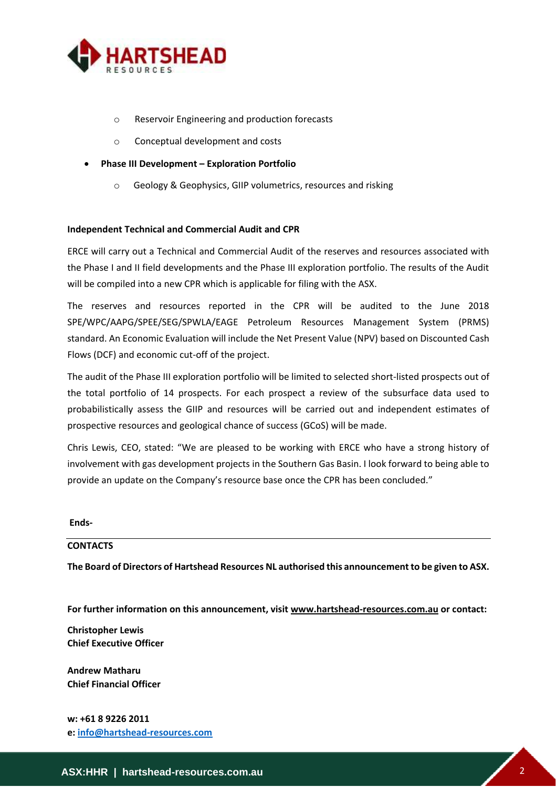

- o Reservoir Engineering and production forecasts
- o Conceptual development and costs
- **Phase III Development – Exploration Portfolio**
	- o Geology & Geophysics, GIIP volumetrics, resources and risking

# **Independent Technical and Commercial Audit and CPR**

ERCE will carry out a Technical and Commercial Audit of the reserves and resources associated with the Phase I and II field developments and the Phase III exploration portfolio. The results of the Audit will be compiled into a new CPR which is applicable for filing with the ASX.

The reserves and resources reported in the CPR will be audited to the June 2018 SPE/WPC/AAPG/SPEE/SEG/SPWLA/EAGE Petroleum Resources Management System (PRMS) standard. An Economic Evaluation will include the Net Present Value (NPV) based on Discounted Cash Flows (DCF) and economic cut-off of the project.

The audit of the Phase III exploration portfolio will be limited to selected short-listed prospects out of the total portfolio of 14 prospects. For each prospect a review of the subsurface data used to probabilistically assess the GIIP and resources will be carried out and independent estimates of prospective resources and geological chance of success (GCoS) will be made.

Chris Lewis, CEO, stated: "We are pleased to be working with ERCE who have a strong history of involvement with gas development projects in the Southern Gas Basin. I look forward to being able to provide an update on the Company's resource base once the CPR has been concluded."

**Ends-**

# **CONTACTS**

**The Board of Directors of Hartshead Resources NL authorised this announcement to be given to ASX.** 

**For further information on this announcement, visit www.hartshead-resources.com.au or contact:**

**Christopher Lewis Chief Executive Officer** 

**Andrew Matharu Chief Financial Officer**

**w: +61 8 9226 2011 e: [info@hartshead-resources.com](mailto:info@hartshead-resources.com)**

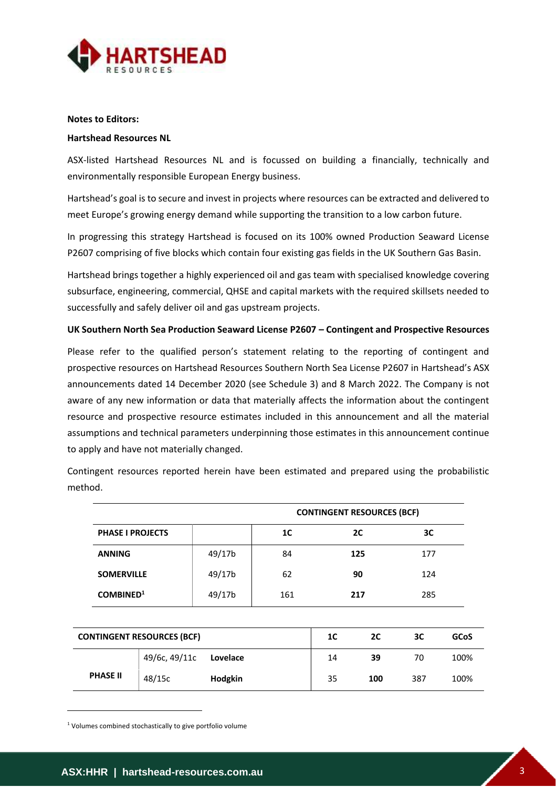

# **Notes to Editors:**

## **Hartshead Resources NL**

ASX-listed Hartshead Resources NL and is focussed on building a financially, technically and environmentally responsible European Energy business.

Hartshead's goal is to secure and invest in projects where resources can be extracted and delivered to meet Europe's growing energy demand while supporting the transition to a low carbon future.

In progressing this strategy Hartshead is focused on its 100% owned Production Seaward License P2607 comprising of five blocks which contain four existing gas fields in the UK Southern Gas Basin.

Hartshead brings together a highly experienced oil and gas team with specialised knowledge covering subsurface, engineering, commercial, QHSE and capital markets with the required skillsets needed to successfully and safely deliver oil and gas upstream projects.

## **UK Southern North Sea Production Seaward License P2607 – Contingent and Prospective Resources**

Please refer to the qualified person's statement relating to the reporting of contingent and prospective resources on Hartshead Resources Southern North Sea License P2607 in Hartshead's ASX announcements dated 14 December 2020 (see Schedule 3) and 8 March 2022. The Company is not aware of any new information or data that materially affects the information about the contingent resource and prospective resource estimates included in this announcement and all the material assumptions and technical parameters underpinning those estimates in this announcement continue to apply and have not materially changed.

Contingent resources reported herein have been estimated and prepared using the probabilistic method.

|                         |        | <b>CONTINGENT RESOURCES (BCF)</b> |     |     |  |  |
|-------------------------|--------|-----------------------------------|-----|-----|--|--|
| <b>PHASE I PROJECTS</b> |        | 1C                                | 2C  | зс  |  |  |
| <b>ANNING</b>           | 49/17b | 84                                | 125 | 177 |  |  |
| <b>SOMERVILLE</b>       | 49/17b | 62                                | 90  | 124 |  |  |
| COMBINED <sup>1</sup>   | 49/17b | 161                               | 217 | 285 |  |  |

|                 | <b>CONTINGENT RESOURCES (BCF)</b> |          | 1C | 2C  | 3C  | GCoS |
|-----------------|-----------------------------------|----------|----|-----|-----|------|
|                 | 49/6c, 49/11c                     | Lovelace | 14 | 39  | 70  | 100% |
| <b>PHASE II</b> | 48/15c                            | Hodgkin  | 35 | 100 | 387 | 100% |

<sup>1</sup> Volumes combined stochastically to give portfolio volume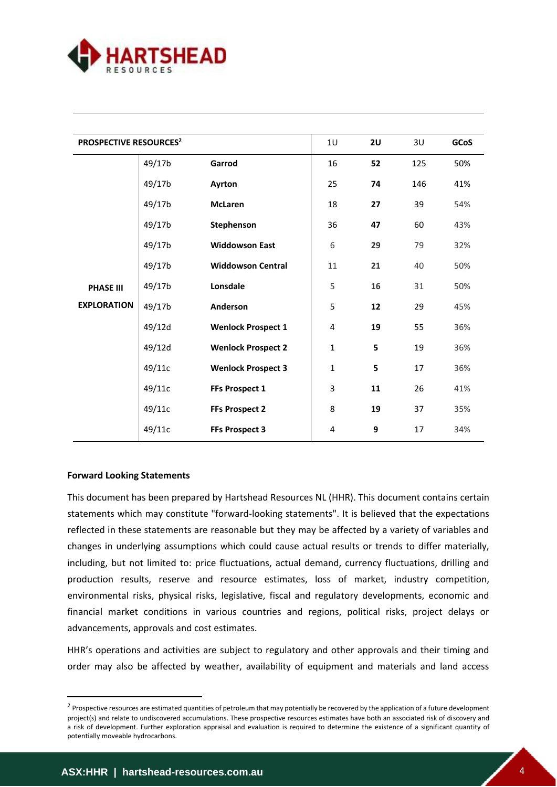

| <b>PROSPECTIVE RESOURCES<sup>2</sup></b> |        |                           | 1 <sub>U</sub> | 2U | 3U  | GCoS |
|------------------------------------------|--------|---------------------------|----------------|----|-----|------|
|                                          | 49/17b | Garrod                    | 16             | 52 | 125 | 50%  |
|                                          | 49/17b | Ayrton                    | 25             | 74 | 146 | 41%  |
|                                          | 49/17b | <b>McLaren</b>            | 18             | 27 | 39  | 54%  |
|                                          | 49/17b | Stephenson                | 36             | 47 | 60  | 43%  |
|                                          | 49/17b | <b>Widdowson East</b>     | 6              | 29 | 79  | 32%  |
|                                          | 49/17b | <b>Widdowson Central</b>  | 11             | 21 | 40  | 50%  |
| <b>PHASE III</b>                         | 49/17b | Lonsdale                  | 5              | 16 | 31  | 50%  |
| <b>EXPLORATION</b>                       | 49/17b | Anderson                  | 5              | 12 | 29  | 45%  |
|                                          | 49/12d | <b>Wenlock Prospect 1</b> | 4              | 19 | 55  | 36%  |
|                                          | 49/12d | <b>Wenlock Prospect 2</b> | $\mathbf{1}$   | 5  | 19  | 36%  |
|                                          | 49/11c | <b>Wenlock Prospect 3</b> | $\mathbf{1}$   | 5  | 17  | 36%  |
|                                          | 49/11c | FFs Prospect 1            | 3              | 11 | 26  | 41%  |
|                                          | 49/11c |                           | 8              | 19 | 37  | 35%  |
|                                          |        | <b>FFs Prospect 2</b>     |                |    |     |      |
|                                          | 49/11c | <b>FFs Prospect 3</b>     | 4              | 9  | 17  | 34%  |

## **Forward Looking Statements**

This document has been prepared by Hartshead Resources NL (HHR). This document contains certain statements which may constitute "forward-looking statements". It is believed that the expectations reflected in these statements are reasonable but they may be affected by a variety of variables and changes in underlying assumptions which could cause actual results or trends to differ materially, including, but not limited to: price fluctuations, actual demand, currency fluctuations, drilling and production results, reserve and resource estimates, loss of market, industry competition, environmental risks, physical risks, legislative, fiscal and regulatory developments, economic and financial market conditions in various countries and regions, political risks, project delays or advancements, approvals and cost estimates.

HHR's operations and activities are subject to regulatory and other approvals and their timing and order may also be affected by weather, availability of equipment and materials and land access

<sup>&</sup>lt;sup>2</sup> Prospective resources are estimated quantities of petroleum that may potentially be recovered by the application of a future development project(s) and relate to undiscovered accumulations. These prospective resources estimates have both an associated risk of discovery and a risk of development. Further exploration appraisal and evaluation is required to determine the existence of a significant quantity of potentially moveable hydrocarbons.